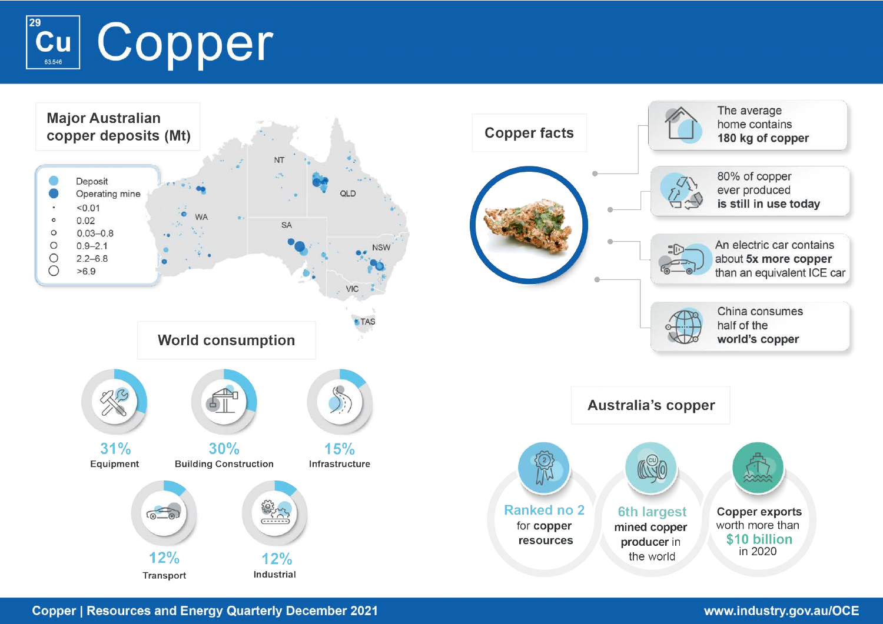



**Copper | Resources and Energy Quarterly December 2021**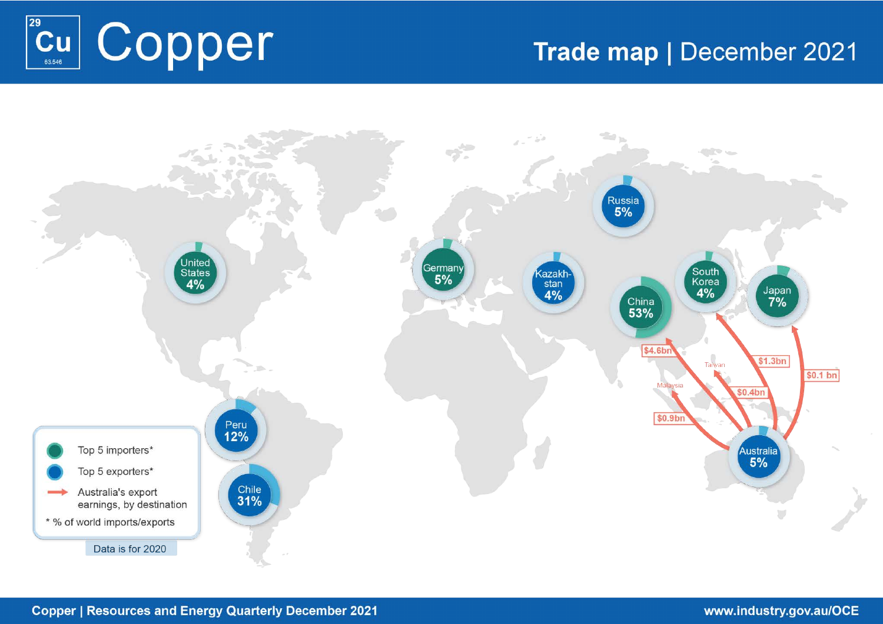

# Trade map | December 2021

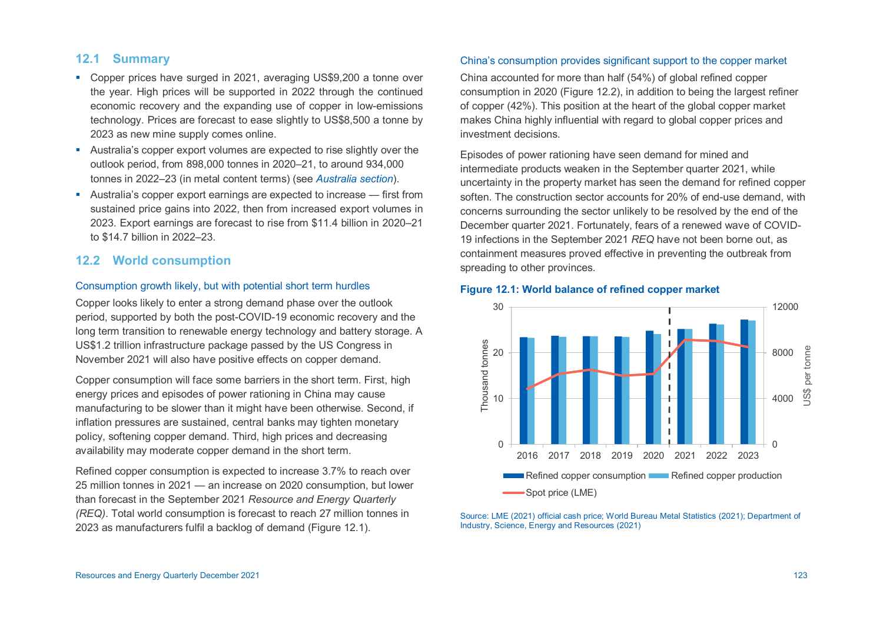## **12.1 Summary**

- Copper prices have surged in 2021, averaging US\$9,200 a tonne over the year. High prices will be supported in 2022 through the continued economic recovery and the expanding use of copper in low-emissions technology. Prices are forecast to ease slightly to US\$8,500 a tonne by 2023 as new mine supply comes online.
- Australia's copper export volumes are expected to rise slightly over the outlook period, from 898,000 tonnes in 2020–21, to around 934,000 tonnes in 2022–23 (in metal content terms) (see *[Australia section](#page-5-0)*).
- Australia's copper export earnings are expected to increase first from sustained price gains into 2022, then from increased export volumes in 2023. Export earnings are forecast to rise from \$11.4 billion in 2020–21 to \$14.7 billion in 2022–23.

# **12.2 World consumption**

## Consumption growth likely, but with potential short term hurdles

Copper looks likely to enter a strong demand phase over the outlook period, supported by both the post-COVID-19 economic recovery and the long term transition to renewable energy technology and battery storage. A US\$1.2 trillion infrastructure package passed by the US Congress in November 2021 will also have positive effects on copper demand.

Copper consumption will face some barriers in the short term. First, high energy prices and episodes of power rationing in China may cause manufacturing to be slower than it might have been otherwise. Second, if inflation pressures are sustained, central banks may tighten monetary policy, softening copper demand. Third, high prices and decreasing availability may moderate copper demand in the short term.

Refined copper consumption is expected to increase 3.7% to reach over 25 million tonnes in 2021 — an increase on 2020 consumption, but lower than forecast in the September 2021 *Resource and Energy Quarterly (REQ)*. Total world consumption is forecast to reach 27 million tonnes in 2023 as manufacturers fulfil a backlog of demand (Figure 12.1).

#### China's consumption provides significant support to the copper market

China accounted for more than half (54%) of global refined copper consumption in 2020 (Figure 12.2), in addition to being the largest refiner of copper (42%). This position at the heart of the global copper market makes China highly influential with regard to global copper prices and investment decisions.

Episodes of power rationing have seen demand for mined and intermediate products weaken in the September quarter 2021, while uncertainty in the property market has seen the demand for refined copper soften. The construction sector accounts for 20% of end-use demand, with concerns surrounding the sector unlikely to be resolved by the end of the December quarter 2021. Fortunately, fears of a renewed wave of COVID-19 infections in the September 2021 *REQ* have not been borne out, as containment measures proved effective in preventing the outbreak from spreading to other provinces.



## **Figure 12.1: World balance of refined copper market**

Source: LME (2021) official cash price; World Bureau Metal Statistics (2021); Department of Industry, Science, Energy and Resources (2021)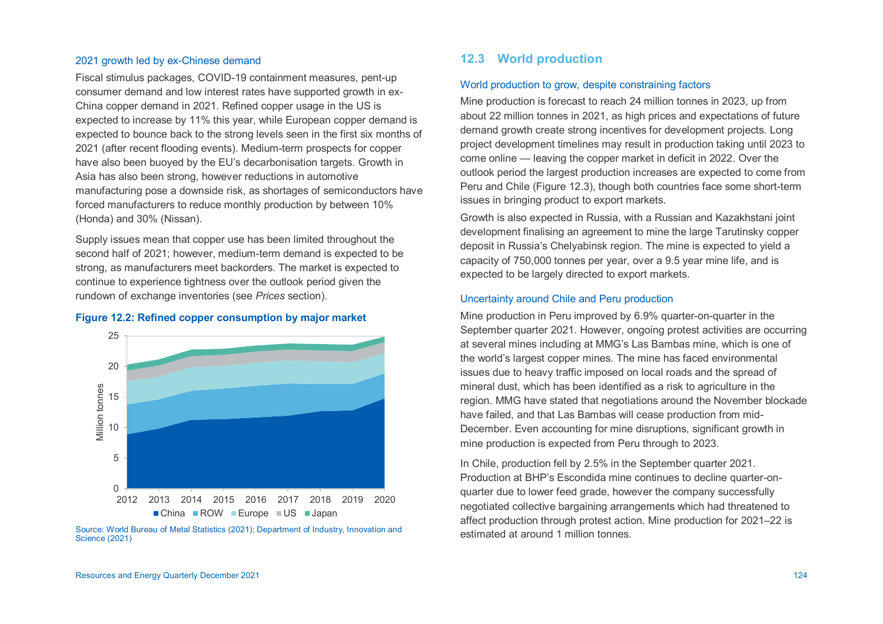#### 2021 growth led by ex-Chinese demand

Fiscal stimulus packages, COVID-19 containment measures, pent-up consumer demand and low interest rates have supported growth in ex-China copper demand in 2021. Refined copper usage in the US is expected to increase by 11% this year, while European copper demand is expected to bounce back to the strong levels seen in the first six months of 2021 (after recent flooding events). Medium-term prospects for copper have also been buoyed by the EU's decarbonisation targets. Growth in Asia has also been strong, however reductions in automotive manufacturing pose a downside risk, as shortages of semiconductors have forced manufacturers to reduce monthly production by between 10% (Honda) and 30% (Nissan).

Supply issues mean that copper use has been limited throughout the second half of 2021; however, medium-term demand is expected to be strong, as manufacturers meet backorders. The market is expected to continue to experience tightness over the outlook period given the rundown of exchange inventories (see *Prices* section).

#### **Figure 12.2: Refined copper consumption by major market**



Source: World Bureau of Metal Statistics (2021); Department of Industry, Innovation and Science (2021)

# **12.3 World production**

#### World production to grow, despite constraining factors

Mine production is forecast to reach 24 million tonnes in 2023, up from about 22 million tonnes in 2021, as high prices and expectations of future demand growth create strong incentives for development projects. Long project development timelines may result in production taking until 2023 to come online — leaving the copper market in deficit in 2022. Over the outlook period the largest production increases are expected to come from Peru and Chile (Figure 12.3), though both countries face some short-term issues in bringing product to export markets.

Growth is also expected in Russia, with a Russian and Kazakhstani joint development finalising an agreement to mine the large Tarutinsky copper deposit in Russia's Chelyabinsk region. The mine is expected to yield a capacity of 750,000 tonnes per year, over a 9.5 year mine life, and is expected to be largely directed to export markets.

## Uncertainty around Chile and Peru production

Mine production in Peru improved by 6.9% quarter-on-quarter in the September quarter 2021. However, ongoing protest activities are occurring at several mines including at MMG's Las Bambas mine, which is one of the world's largest copper mines. The mine has faced environmental issues due to heavy traffic imposed on local roads and the spread of mineral dust, which has been identified as a risk to agriculture in the region. MMG have stated that negotiations around the November blockade have failed, and that Las Bambas will cease production from mid-December. Even accounting for mine disruptions, significant growth in mine production is expected from Peru through to 2023.

In Chile, production fell by 2.5% in the September quarter 2021. Production at BHP's Escondida mine continues to decline quarter-onquarter due to lower feed grade, however the company successfully negotiated collective bargaining arrangements which had threatened to affect production through protest action. Mine production for 2021–22 is estimated at around 1 million tonnes.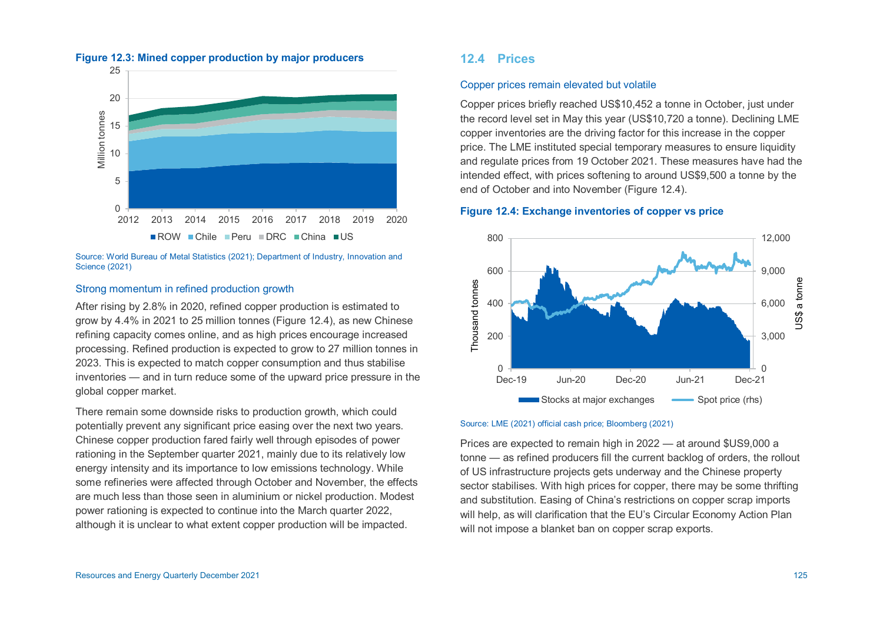

#### **Figure 12.3: Mined copper production by major producers**

Source: World Bureau of Metal Statistics (2021); Department of Industry, Innovation and Science (2021)

#### Strong momentum in refined production growth

After rising by 2.8% in 2020, refined copper production is estimated to grow by 4.4% in 2021 to 25 million tonnes (Figure 12.4), as new Chinese refining capacity comes online, and as high prices encourage increased processing. Refined production is expected to grow to 27 million tonnes in 2023. This is expected to match copper consumption and thus stabilise inventories — and in turn reduce some of the upward price pressure in the global copper market.

There remain some downside risks to production growth, which could potentially prevent any significant price easing over the next two years. Chinese copper production fared fairly well through episodes of power rationing in the September quarter 2021, mainly due to its relatively low energy intensity and its importance to low emissions technology. While some refineries were affected through October and November, the effects are much less than those seen in aluminium or nickel production. Modest power rationing is expected to continue into the March quarter 2022, although it is unclear to what extent copper production will be impacted.

## **12.4 Prices**

#### Copper prices remain elevated but volatile

Copper prices briefly reached US\$10,452 a tonne in October, just under the record level set in May this year (US\$10,720 a tonne). Declining LME copper inventories are the driving factor for this increase in the copper price. The LME instituted special temporary measures to ensure liquidity and regulate prices from 19 October 2021. These measures have had the intended effect, with prices softening to around US\$9,500 a tonne by the end of October and into November (Figure 12.4).

#### **Figure 12.4: Exchange inventories of copper vs price**



#### Source: LME (2021) official cash price; Bloomberg (2021)

Prices are expected to remain high in 2022 — at around \$US9,000 a tonne — as refined producers fill the current backlog of orders, the rollout of US infrastructure projects gets underway and the Chinese property sector stabilises. With high prices for copper, there may be some thrifting and substitution. Easing of China's restrictions on copper scrap imports will help, as will clarification that the EU's Circular Economy Action Plan will not impose a blanket ban on copper scrap exports.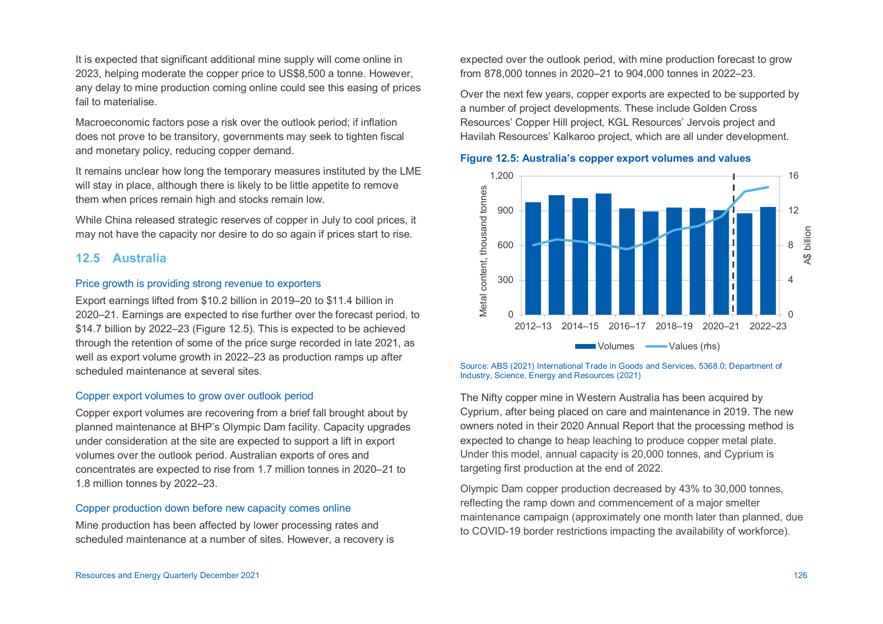It is expected that significant additional mine supply will come online in 2023, helping moderate the copper price to US\$8,500 a tonne. However, any delay to mine production coming online could see this easing of prices fail to materialise.

Macroeconomic factors pose a risk over the outlook period; if inflation does not prove to be transitory, governments may seek to tighten fiscal and monetary policy, reducing copper demand.

It remains unclear how long the temporary measures instituted by the LME will stay in place, although there is likely to be little appetite to remove them when prices remain high and stocks remain low.

While China released strategic reserves of copper in July to cool prices, it may not have the capacity nor desire to do so again if prices start to rise.

## <span id="page-5-0"></span>**12.5 Australia**

#### Price growth is providing strong revenue to exporters

Export earnings lifted from \$10.2 billion in 2019–20 to \$11.4 billion in 2020–21. Earnings are expected to rise further over the forecast period, to \$14.7 billion by 2022–23 (Figure 12.5). This is expected to be achieved through the retention of some of the price surge recorded in late 2021, as well as export volume growth in 2022–23 as production ramps up after scheduled maintenance at several sites.

#### Copper export volumes to grow over outlook period

Copper export volumes are recovering from a brief fall brought about by planned maintenance at BHP's Olympic Dam facility. Capacity upgrades under consideration at the site are expected to support a lift in export volumes over the outlook period. Australian exports of ores and concentrates are expected to rise from 1.7 million tonnes in 2020–21 to 1.8 million tonnes by 2022–23.

#### Copper production down before new capacity comes online

Mine production has been affected by lower processing rates and scheduled maintenance at a number of sites. However, a recovery is expected over the outlook period, with mine production forecast to grow from 878,000 tonnes in 2020–21 to 904,000 tonnes in 2022–23.

Over the next few years, copper exports are expected to be supported by a number of project developments. These include Golden Cross Resources' Copper Hill project, KGL Resources' Jervois project and Havilah Resources' Kalkaroo project, which are all under development.

#### **Figure 12.5: Australia's copper export volumes and values**



#### Source: ABS (2021) International Trade in Goods and Services, 5368.0; Department of Industry, Science, Energy and Resources (2021)

The Nifty copper mine in Western Australia has been acquired by Cyprium, after being placed on care and maintenance in 2019. The new owners noted in their 2020 Annual Report that the processing method is expected to change to heap leaching to produce copper metal plate. Under this model, annual capacity is 20,000 tonnes, and Cyprium is targeting first production at the end of 2022.

Olympic Dam copper production decreased by 43% to 30,000 tonnes, reflecting the ramp down and commencement of a major smelter maintenance campaign (approximately one month later than planned, due to COVID-19 border restrictions impacting the availability of workforce).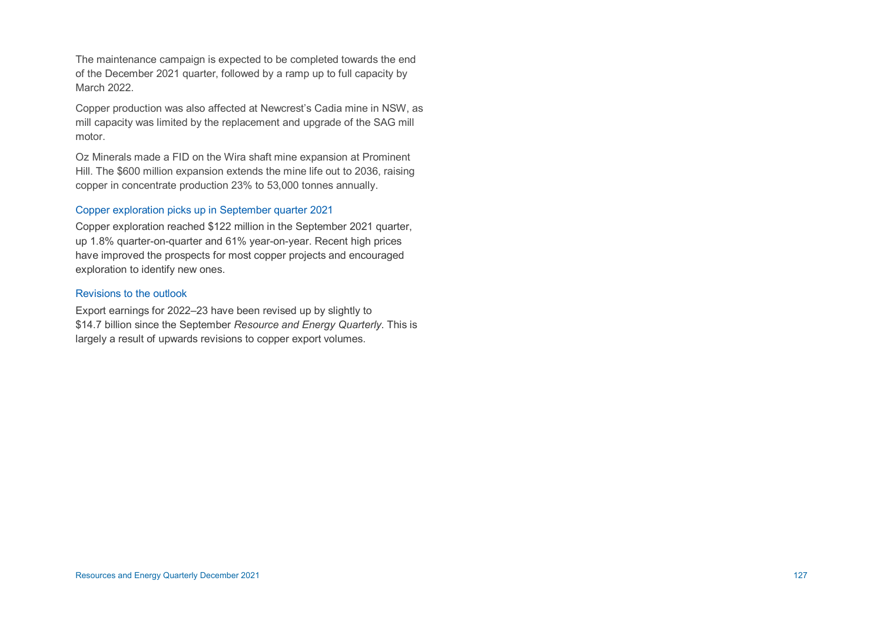The maintenance campaign is expected to be completed towards the end of the December 2021 quarter, followed by a ramp up to full capacity by March 2022.

Copper production was also affected at Newcrest's Cadia mine in NSW, as mill capacity was limited by the replacement and upgrade of the SAG mill motor.

Oz Minerals made a FID on the Wira shaft mine expansion at Prominent Hill. The \$600 million expansion extends the mine life out to 2036, raising copper in concentrate production 23% to 53,000 tonnes annually.

#### Copper exploration picks up in September quarter 2021

Copper exploration reached \$122 million in the September 2021 quarter, up 1.8% quarter-on-quarter and 61% year-on-year. Recent high prices have improved the prospects for most copper projects and encouraged exploration to identify new ones.

#### Revisions to the outlook

Export earnings for 2022–23 have been revised up by slightly to \$14.7 billion since the September *Resource and Energy Quarterly*. This is largely a result of upwards revisions to copper export volumes.